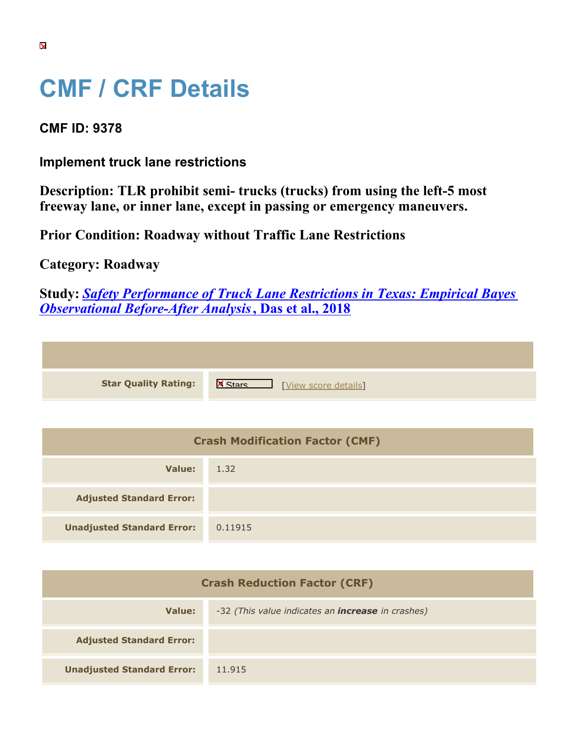## **CMF / CRF Details**

## **CMF ID: 9378**

**Implement truck lane restrictions**

**Description: TLR prohibit semi- trucks (trucks) from using the left-5 most freeway lane, or inner lane, except in passing or emergency maneuvers.**

**Prior Condition: Roadway without Traffic Lane Restrictions**

## **Category: Roadway**

**Study:** *[Safety Performance of Truck Lane Restrictions in Texas: Empirical Bayes](https://cmfclearinghouse.org/study_detail.cfm?stid=521) [Observational Before-After Analysis](https://cmfclearinghouse.org/study_detail.cfm?stid=521)***[, Das et al., 2018](https://cmfclearinghouse.org/study_detail.cfm?stid=521)**

**Star Quality Rating:** X Materials Number 2016 [[View score details](https://cmfclearinghouse.org/score_details.cfm?facid=9378)]

| <b>Crash Modification Factor (CMF)</b> |         |  |
|----------------------------------------|---------|--|
| Value:                                 | 1.32    |  |
| <b>Adjusted Standard Error:</b>        |         |  |
| <b>Unadjusted Standard Error:</b>      | 0.11915 |  |

| <b>Crash Reduction Factor (CRF)</b> |                                                          |  |
|-------------------------------------|----------------------------------------------------------|--|
| Value:                              | -32 (This value indicates an <b>increase</b> in crashes) |  |
| <b>Adjusted Standard Error:</b>     |                                                          |  |
| <b>Unadjusted Standard Error:</b>   | 11.915                                                   |  |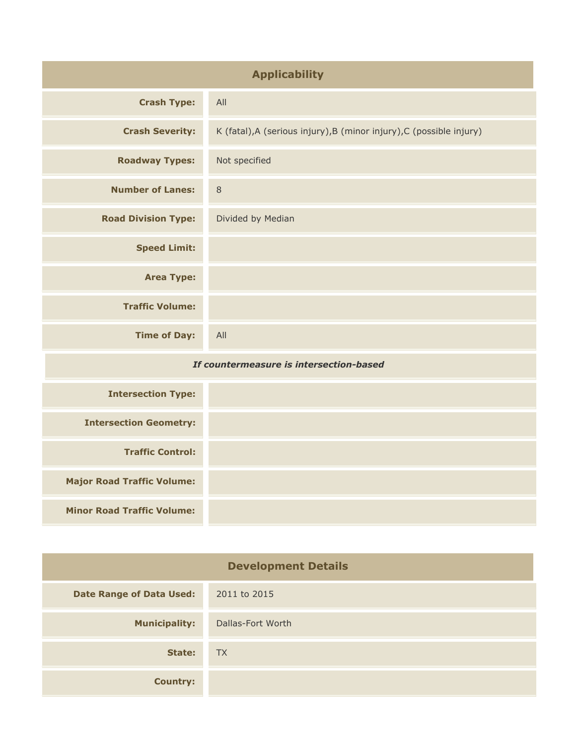| <b>Applicability</b>                    |                                                                      |
|-----------------------------------------|----------------------------------------------------------------------|
| <b>Crash Type:</b>                      | All                                                                  |
| <b>Crash Severity:</b>                  | K (fatal), A (serious injury), B (minor injury), C (possible injury) |
| <b>Roadway Types:</b>                   | Not specified                                                        |
| <b>Number of Lanes:</b>                 | $\,8\,$                                                              |
| <b>Road Division Type:</b>              | Divided by Median                                                    |
| <b>Speed Limit:</b>                     |                                                                      |
| <b>Area Type:</b>                       |                                                                      |
| <b>Traffic Volume:</b>                  |                                                                      |
| <b>Time of Day:</b>                     | All                                                                  |
| If countermeasure is intersection-based |                                                                      |
| <b>Intersection Type:</b>               |                                                                      |
| <b>Intersection Geometry:</b>           |                                                                      |
| <b>Traffic Control:</b>                 |                                                                      |
| <b>Major Road Traffic Volume:</b>       |                                                                      |
| <b>Minor Road Traffic Volume:</b>       |                                                                      |

| <b>Development Details</b>      |                   |
|---------------------------------|-------------------|
| <b>Date Range of Data Used:</b> | 2011 to 2015      |
| <b>Municipality:</b>            | Dallas-Fort Worth |
| State:                          | <b>TX</b>         |
| <b>Country:</b>                 |                   |